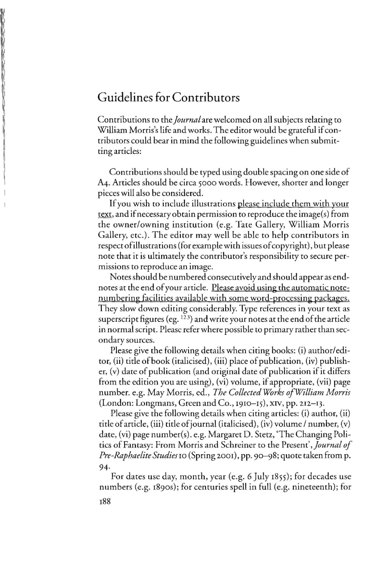## Guidelines for Contributors

Contributions to the *Journal* are welcomed on all subjects relating to William Morris's life and works. The editor would be grateful if contributors could bear in mind the following guidelines when submitting articles:

Contributions should be typed using double spacing on one side of A4. Articles should be circa 5000 words. However, shorter and longer pieces will also be considered.

If you wish to include illustrations please include them with your text, and if necessary obtain permission to reproduce the image(s) from [he owner/owning institution (e.g. Tate Gallery, William Morris Gallery, etc.). The editor may well be able to help contributors in respect of illustrations (for example with issues of copyright), but please note that it is ultimately the contributor's responsibility to secure permissions to reproduce an image.

Notes should be numbered consecutively and should appear as endnotes at the end of your article. Please avoid using the automatic notenumbering facilities available with some word-processing packages. They slow down editing considerably. Type references in your text as superscript figures (eg.  $123$ ) and write your notes at the end of the article in normal script. Please refer where possible to primary rather than secondary sources.

Please give the following details when citing books: (i) author/editor, (ii) title of book (italicised), (iii) place of publication, (iv) publisher, (v) date of publication (and original date of publication if it differs from the edition you are using), (vi) volume, if appropriate, (vii) page number. e.g. May Morris, ed., *The Collected Works of William Morris* (London: Longmans, Green and Co., 1910-15), XIV, pp. 212-13.

Please give the following details when citing articles: (i) author, (ii) title of article, (iii) title of journal (italicised), (iv) volume / number, (v) date, (vi) page number(s). e.g. Margaret D. Stetz, 'The Changing Politics of Fantasy: From Morris and Schreiner to the Present', *Journal of Pre-Raphaelite Studies* 10 (Spring 2001), pp. 90-98; quote taken from p. 94·

For dates use day, month, year (e.g. 6 July 1855); for decades use numbers (e.g. 1890s); for centuries spell in full (e.g. nineteenth); for 188